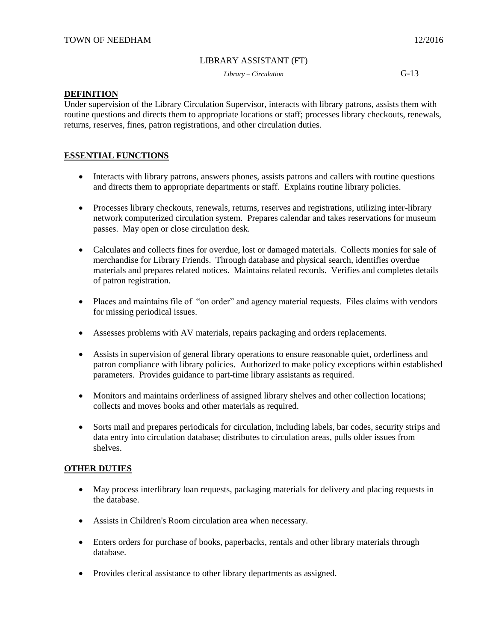#### LIBRARY ASSISTANT (FT)

*Library – Circulation* G-13

## **DEFINITION**

Under supervision of the Library Circulation Supervisor, interacts with library patrons, assists them with routine questions and directs them to appropriate locations or staff; processes library checkouts, renewals, returns, reserves, fines, patron registrations, and other circulation duties.

# **ESSENTIAL FUNCTIONS**

- Interacts with library patrons, answers phones, assists patrons and callers with routine questions and directs them to appropriate departments or staff. Explains routine library policies.
- Processes library checkouts, renewals, returns, reserves and registrations, utilizing inter-library network computerized circulation system. Prepares calendar and takes reservations for museum passes. May open or close circulation desk.
- Calculates and collects fines for overdue, lost or damaged materials. Collects monies for sale of merchandise for Library Friends. Through database and physical search, identifies overdue materials and prepares related notices. Maintains related records. Verifies and completes details of patron registration.
- Places and maintains file of "on order" and agency material requests. Files claims with vendors for missing periodical issues.
- Assesses problems with AV materials, repairs packaging and orders replacements.
- Assists in supervision of general library operations to ensure reasonable quiet, orderliness and patron compliance with library policies. Authorized to make policy exceptions within established parameters. Provides guidance to part-time library assistants as required.
- Monitors and maintains orderliness of assigned library shelves and other collection locations; collects and moves books and other materials as required.
- Sorts mail and prepares periodicals for circulation, including labels, bar codes, security strips and data entry into circulation database; distributes to circulation areas, pulls older issues from shelves.

# **OTHER DUTIES**

- May process interlibrary loan requests, packaging materials for delivery and placing requests in the database.
- Assists in Children's Room circulation area when necessary.
- Enters orders for purchase of books, paperbacks, rentals and other library materials through database.
- Provides clerical assistance to other library departments as assigned.